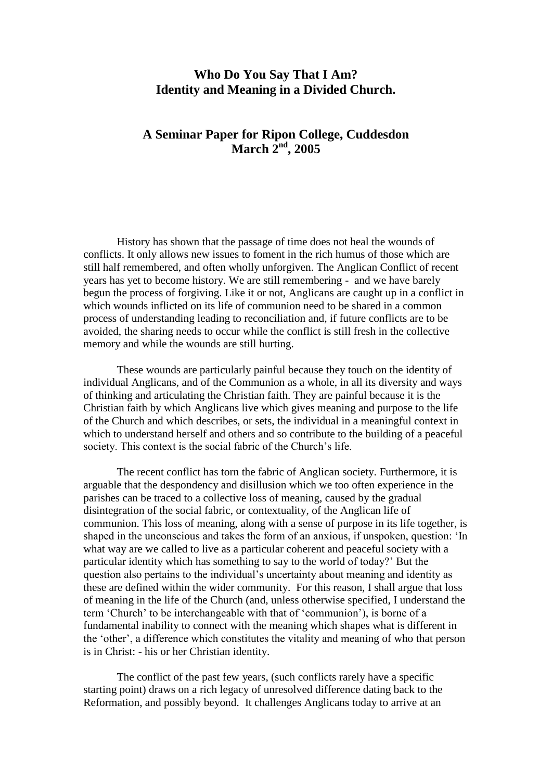# **Who Do You Say That I Am? Identity and Meaning in a Divided Church.**

# **A Seminar Paper for Ripon College, Cuddesdon March 2nd, 2005**

History has shown that the passage of time does not heal the wounds of conflicts. It only allows new issues to foment in the rich humus of those which are still half remembered, and often wholly unforgiven. The Anglican Conflict of recent years has yet to become history. We are still remembering - and we have barely begun the process of forgiving. Like it or not, Anglicans are caught up in a conflict in which wounds inflicted on its life of communion need to be shared in a common process of understanding leading to reconciliation and, if future conflicts are to be avoided, the sharing needs to occur while the conflict is still fresh in the collective memory and while the wounds are still hurting.

These wounds are particularly painful because they touch on the identity of individual Anglicans, and of the Communion as a whole, in all its diversity and ways of thinking and articulating the Christian faith. They are painful because it is the Christian faith by which Anglicans live which gives meaning and purpose to the life of the Church and which describes, or sets, the individual in a meaningful context in which to understand herself and others and so contribute to the building of a peaceful society. This context is the social fabric of the Church's life.

The recent conflict has torn the fabric of Anglican society. Furthermore, it is arguable that the despondency and disillusion which we too often experience in the parishes can be traced to a collective loss of meaning, caused by the gradual disintegration of the social fabric, or contextuality, of the Anglican life of communion. This loss of meaning, along with a sense of purpose in its life together, is shaped in the unconscious and takes the form of an anxious, if unspoken, question: 'In what way are we called to live as a particular coherent and peaceful society with a particular identity which has something to say to the world of today?' But the question also pertains to the individual's uncertainty about meaning and identity as these are defined within the wider community. For this reason, I shall argue that loss of meaning in the life of the Church (and, unless otherwise specified, I understand the term 'Church' to be interchangeable with that of 'communion'), is borne of a fundamental inability to connect with the meaning which shapes what is different in the 'other', a difference which constitutes the vitality and meaning of who that person is in Christ: - his or her Christian identity.

The conflict of the past few years, (such conflicts rarely have a specific starting point) draws on a rich legacy of unresolved difference dating back to the Reformation, and possibly beyond. It challenges Anglicans today to arrive at an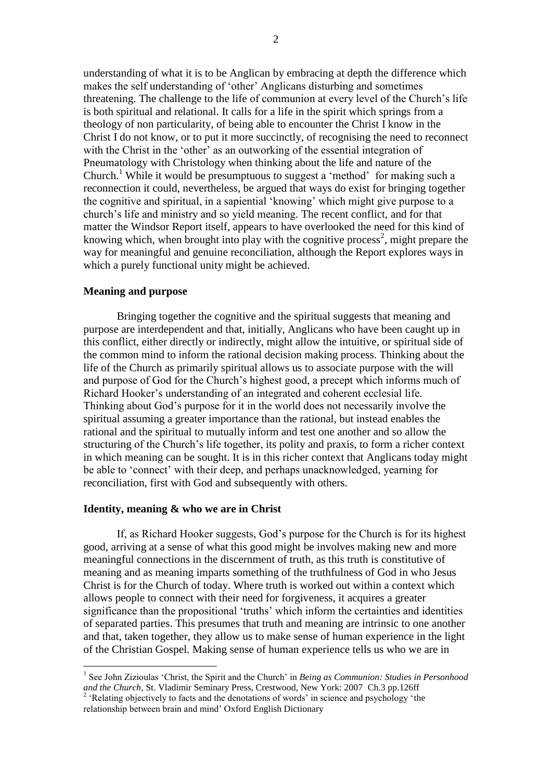understanding of what it is to be Anglican by embracing at depth the difference which makes the self understanding of 'other' Anglicans disturbing and sometimes threatening. The challenge to the life of communion at every level of the Church's life is both spiritual and relational. It calls for a life in the spirit which springs from a theology of non particularity, of being able to encounter the Christ I know in the Christ I do not know, or to put it more succinctly, of recognising the need to reconnect with the Christ in the 'other' as an outworking of the essential integration of Pneumatology with Christology when thinking about the life and nature of the Church.<sup>1</sup> While it would be presumptuous to suggest a 'method' for making such a reconnection it could, nevertheless, be argued that ways do exist for bringing together the cognitive and spiritual, in a sapiential 'knowing' which might give purpose to a church's life and ministry and so yield meaning. The recent conflict, and for that matter the Windsor Report itself, appears to have overlooked the need for this kind of knowing which, when brought into play with the cognitive process<sup>2</sup>, might prepare the way for meaningful and genuine reconciliation, although the Report explores ways in which a purely functional unity might be achieved.

## **Meaning and purpose**

1

Bringing together the cognitive and the spiritual suggests that meaning and purpose are interdependent and that, initially, Anglicans who have been caught up in this conflict, either directly or indirectly, might allow the intuitive, or spiritual side of the common mind to inform the rational decision making process. Thinking about the life of the Church as primarily spiritual allows us to associate purpose with the will and purpose of God for the Church's highest good, a precept which informs much of Richard Hooker's understanding of an integrated and coherent ecclesial life. Thinking about God's purpose for it in the world does not necessarily involve the spiritual assuming a greater importance than the rational, but instead enables the rational and the spiritual to mutually inform and test one another and so allow the structuring of the Church's life together, its polity and praxis, to form a richer context in which meaning can be sought. It is in this richer context that Anglicans today might be able to 'connect' with their deep, and perhaps unacknowledged, yearning for reconciliation, first with God and subsequently with others.

#### **Identity, meaning & who we are in Christ**

If, as Richard Hooker suggests, God's purpose for the Church is for its highest good, arriving at a sense of what this good might be involves making new and more meaningful connections in the discernment of truth, as this truth is constitutive of meaning and as meaning imparts something of the truthfulness of God in who Jesus Christ is for the Church of today. Where truth is worked out within a context which allows people to connect with their need for forgiveness, it acquires a greater significance than the propositional 'truths' which inform the certainties and identities of separated parties. This presumes that truth and meaning are intrinsic to one another and that, taken together, they allow us to make sense of human experience in the light of the Christian Gospel. Making sense of human experience tells us who we are in

<sup>&</sup>lt;sup>1</sup> See John Zizioulas 'Christ, the Spirit and the Church' in *Being as Communion: Studies in Personhood and the Church,* St. Vladimir Seminary Press, Crestwood, New York: 2007 Ch.3 pp.126ff

<sup>&</sup>lt;sup>2</sup> 'Relating objectively to facts and the denotations of words' in science and psychology 'the relationship between brain and mind' Oxford English Dictionary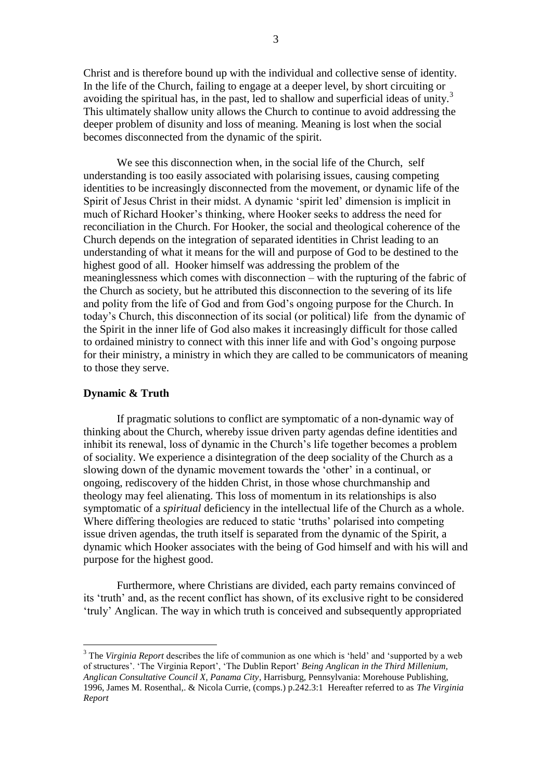Christ and is therefore bound up with the individual and collective sense of identity. In the life of the Church, failing to engage at a deeper level, by short circuiting or avoiding the spiritual has, in the past, led to shallow and superficial ideas of unity.<sup>3</sup> This ultimately shallow unity allows the Church to continue to avoid addressing the deeper problem of disunity and loss of meaning. Meaning is lost when the social becomes disconnected from the dynamic of the spirit.

We see this disconnection when, in the social life of the Church, self understanding is too easily associated with polarising issues, causing competing identities to be increasingly disconnected from the movement, or dynamic life of the Spirit of Jesus Christ in their midst. A dynamic 'spirit led' dimension is implicit in much of Richard Hooker's thinking, where Hooker seeks to address the need for reconciliation in the Church. For Hooker, the social and theological coherence of the Church depends on the integration of separated identities in Christ leading to an understanding of what it means for the will and purpose of God to be destined to the highest good of all. Hooker himself was addressing the problem of the meaninglessness which comes with disconnection – with the rupturing of the fabric of the Church as society, but he attributed this disconnection to the severing of its life and polity from the life of God and from God's ongoing purpose for the Church. In today's Church, this disconnection of its social (or political) life from the dynamic of the Spirit in the inner life of God also makes it increasingly difficult for those called to ordained ministry to connect with this inner life and with God's ongoing purpose for their ministry, a ministry in which they are called to be communicators of meaning to those they serve.

### **Dynamic & Truth**

1

If pragmatic solutions to conflict are symptomatic of a non-dynamic way of thinking about the Church, whereby issue driven party agendas define identities and inhibit its renewal, loss of dynamic in the Church's life together becomes a problem of sociality. We experience a disintegration of the deep sociality of the Church as a slowing down of the dynamic movement towards the 'other' in a continual, or ongoing, rediscovery of the hidden Christ, in those whose churchmanship and theology may feel alienating. This loss of momentum in its relationships is also symptomatic of a *spiritual* deficiency in the intellectual life of the Church as a whole. Where differing theologies are reduced to static 'truths' polarised into competing issue driven agendas, the truth itself is separated from the dynamic of the Spirit, a dynamic which Hooker associates with the being of God himself and with his will and purpose for the highest good.

Furthermore, where Christians are divided, each party remains convinced of its 'truth' and, as the recent conflict has shown, of its exclusive right to be considered 'truly' Anglican. The way in which truth is conceived and subsequently appropriated

<sup>3</sup> The *Virginia Report* describes the life of communion as one which is 'held' and 'supported by a web of structures'. 'The Virginia Report', 'The Dublin Report' *Being Anglican in the Third Millenium, Anglican Consultative Council X, Panama City*, Harrisburg, Pennsylvania: Morehouse Publishing, 1996, James M. Rosenthal,. & Nicola Currie, (comps.) p.242.3:1 Hereafter referred to as *The Virginia Report*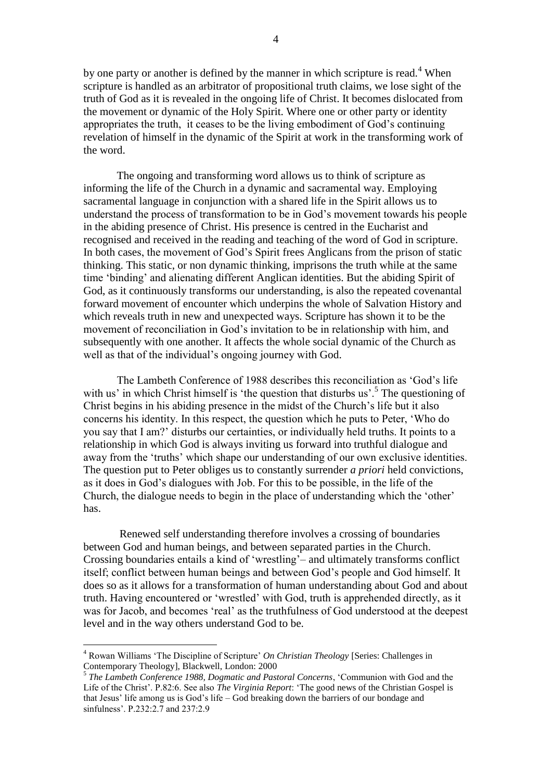by one party or another is defined by the manner in which scripture is read.<sup>4</sup> When scripture is handled as an arbitrator of propositional truth claims, we lose sight of the truth of God as it is revealed in the ongoing life of Christ. It becomes dislocated from the movement or dynamic of the Holy Spirit. Where one or other party or identity appropriates the truth, it ceases to be the living embodiment of God's continuing revelation of himself in the dynamic of the Spirit at work in the transforming work of the word.

The ongoing and transforming word allows us to think of scripture as informing the life of the Church in a dynamic and sacramental way. Employing sacramental language in conjunction with a shared life in the Spirit allows us to understand the process of transformation to be in God's movement towards his people in the abiding presence of Christ. His presence is centred in the Eucharist and recognised and received in the reading and teaching of the word of God in scripture. In both cases, the movement of God's Spirit frees Anglicans from the prison of static thinking. This static, or non dynamic thinking, imprisons the truth while at the same time 'binding' and alienating different Anglican identities. But the abiding Spirit of God, as it continuously transforms our understanding, is also the repeated covenantal forward movement of encounter which underpins the whole of Salvation History and which reveals truth in new and unexpected ways. Scripture has shown it to be the movement of reconciliation in God's invitation to be in relationship with him, and subsequently with one another. It affects the whole social dynamic of the Church as well as that of the individual's ongoing journey with God.

The Lambeth Conference of 1988 describes this reconciliation as 'God's life with us' in which Christ himself is 'the question that disturbs us'.<sup>5</sup> The questioning of Christ begins in his abiding presence in the midst of the Church's life but it also concerns his identity. In this respect, the question which he puts to Peter, 'Who do you say that I am?' disturbs our certainties, or individually held truths. It points to a relationship in which God is always inviting us forward into truthful dialogue and away from the 'truths' which shape our understanding of our own exclusive identities. The question put to Peter obliges us to constantly surrender *a priori* held convictions, as it does in God's dialogues with Job. For this to be possible, in the life of the Church, the dialogue needs to begin in the place of understanding which the 'other' has.

Renewed self understanding therefore involves a crossing of boundaries between God and human beings, and between separated parties in the Church. Crossing boundaries entails a kind of 'wrestling'– and ultimately transforms conflict itself; conflict between human beings and between God's people and God himself. It does so as it allows for a transformation of human understanding about God and about truth. Having encountered or 'wrestled' with God, truth is apprehended directly, as it was for Jacob, and becomes 'real' as the truthfulness of God understood at the deepest level and in the way others understand God to be.

<sup>4</sup> Rowan Williams 'The Discipline of Scripture' *On Christian Theology* [Series: Challenges in Contemporary Theology], Blackwell, London: 2000

<sup>5</sup> *The Lambeth Conference 1988, Dogmatic and Pastoral Concerns*, 'Communion with God and the Life of the Christ'. P.82:6. See also *The Virginia Report*: 'The good news of the Christian Gospel is that Jesus' life among us is God's life – God breaking down the barriers of our bondage and sinfulness'. P.232:2.7 and 237:2.9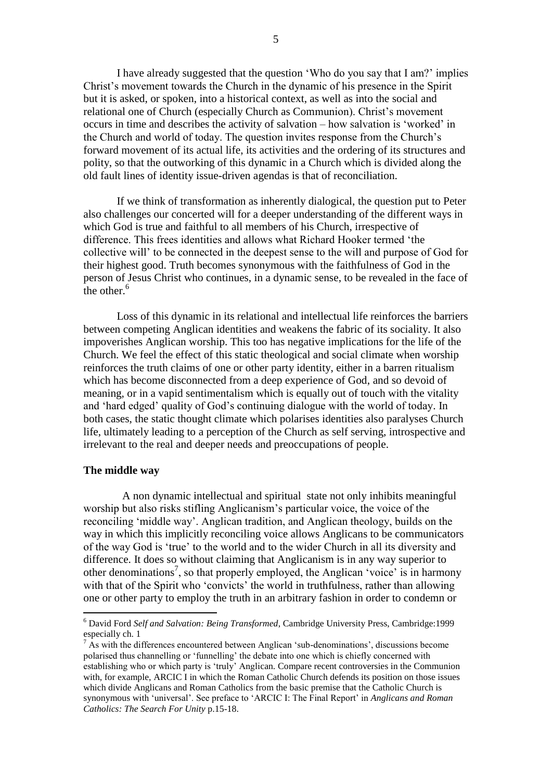I have already suggested that the question 'Who do you say that I am?' implies Christ's movement towards the Church in the dynamic of his presence in the Spirit but it is asked, or spoken, into a historical context, as well as into the social and relational one of Church (especially Church as Communion). Christ's movement occurs in time and describes the activity of salvation – how salvation is 'worked' in the Church and world of today. The question invites response from the Church's forward movement of its actual life, its activities and the ordering of its structures and polity, so that the outworking of this dynamic in a Church which is divided along the old fault lines of identity issue-driven agendas is that of reconciliation.

If we think of transformation as inherently dialogical, the question put to Peter also challenges our concerted will for a deeper understanding of the different ways in which God is true and faithful to all members of his Church, irrespective of difference. This frees identities and allows what Richard Hooker termed 'the collective will' to be connected in the deepest sense to the will and purpose of God for their highest good. Truth becomes synonymous with the faithfulness of God in the person of Jesus Christ who continues, in a dynamic sense, to be revealed in the face of the other. $6$ 

Loss of this dynamic in its relational and intellectual life reinforces the barriers between competing Anglican identities and weakens the fabric of its sociality. It also impoverishes Anglican worship. This too has negative implications for the life of the Church. We feel the effect of this static theological and social climate when worship reinforces the truth claims of one or other party identity, either in a barren ritualism which has become disconnected from a deep experience of God, and so devoid of meaning, or in a vapid sentimentalism which is equally out of touch with the vitality and 'hard edged' quality of God's continuing dialogue with the world of today. In both cases, the static thought climate which polarises identities also paralyses Church life, ultimately leading to a perception of the Church as self serving, introspective and irrelevant to the real and deeper needs and preoccupations of people.

## **The middle way**

<u>.</u>

 A non dynamic intellectual and spiritual state not only inhibits meaningful worship but also risks stifling Anglicanism's particular voice, the voice of the reconciling 'middle way'. Anglican tradition, and Anglican theology, builds on the way in which this implicitly reconciling voice allows Anglicans to be communicators of the way God is 'true' to the world and to the wider Church in all its diversity and difference. It does so without claiming that Anglicanism is in any way superior to other denominations<sup>7</sup>, so that properly employed, the Anglican 'voice' is in harmony with that of the Spirit who 'convicts' the world in truthfulness, rather than allowing one or other party to employ the truth in an arbitrary fashion in order to condemn or

<sup>6</sup> David Ford *Self and Salvation: Being Transformed*, Cambridge University Press, Cambridge:1999 especially ch. 1

 $\frac{7}{1}$  As with the differences encountered between Anglican 'sub-denominations', discussions become polarised thus channelling or 'funnelling' the debate into one which is chiefly concerned with establishing who or which party is 'truly' Anglican. Compare recent controversies in the Communion with, for example, ARCIC I in which the Roman Catholic Church defends its position on those issues which divide Anglicans and Roman Catholics from the basic premise that the Catholic Church is synonymous with 'universal'. See preface to 'ARCIC I: The Final Report' in *Anglicans and Roman Catholics: The Search For Unity* p.15-18.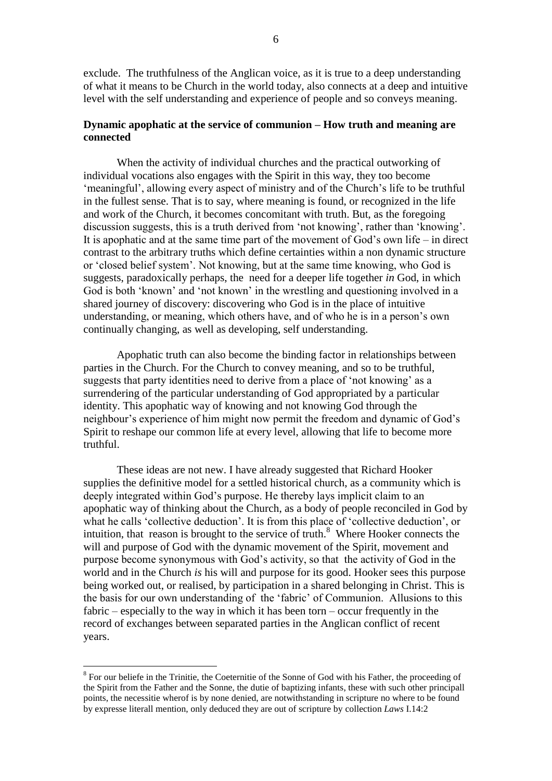exclude. The truthfulness of the Anglican voice, as it is true to a deep understanding of what it means to be Church in the world today, also connects at a deep and intuitive level with the self understanding and experience of people and so conveys meaning.

## **Dynamic apophatic at the service of communion – How truth and meaning are connected**

When the activity of individual churches and the practical outworking of individual vocations also engages with the Spirit in this way, they too become 'meaningful', allowing every aspect of ministry and of the Church's life to be truthful in the fullest sense. That is to say, where meaning is found, or recognized in the life and work of the Church, it becomes concomitant with truth. But, as the foregoing discussion suggests, this is a truth derived from 'not knowing', rather than 'knowing'. It is apophatic and at the same time part of the movement of God's own life – in direct contrast to the arbitrary truths which define certainties within a non dynamic structure or 'closed belief system'. Not knowing, but at the same time knowing, who God is suggests, paradoxically perhaps, the need for a deeper life together *in* God, in which God is both 'known' and 'not known' in the wrestling and questioning involved in a shared journey of discovery: discovering who God is in the place of intuitive understanding, or meaning, which others have, and of who he is in a person's own continually changing, as well as developing, self understanding.

Apophatic truth can also become the binding factor in relationships between parties in the Church. For the Church to convey meaning, and so to be truthful, suggests that party identities need to derive from a place of 'not knowing' as a surrendering of the particular understanding of God appropriated by a particular identity. This apophatic way of knowing and not knowing God through the neighbour's experience of him might now permit the freedom and dynamic of God's Spirit to reshape our common life at every level, allowing that life to become more truthful.

These ideas are not new. I have already suggested that Richard Hooker supplies the definitive model for a settled historical church, as a community which is deeply integrated within God's purpose. He thereby lays implicit claim to an apophatic way of thinking about the Church, as a body of people reconciled in God by what he calls 'collective deduction'. It is from this place of 'collective deduction', or intuition, that reason is brought to the service of truth. $8$  Where Hooker connects the will and purpose of God with the dynamic movement of the Spirit, movement and purpose become synonymous with God's activity, so that the activity of God in the world and in the Church *is* his will and purpose for its good. Hooker sees this purpose being worked out, or realised, by participation in a shared belonging in Christ. This is the basis for our own understanding of the 'fabric' of Communion. Allusions to this fabric – especially to the way in which it has been torn – occur frequently in the record of exchanges between separated parties in the Anglican conflict of recent years.

 $8$  For our beliefe in the Trinitie, the Coeternitie of the Sonne of God with his Father, the proceeding of the Spirit from the Father and the Sonne, the dutie of baptizing infants, these with such other principall points, the necessitie wherof is by none denied, are notwithstanding in scripture no where to be found by expresse literall mention, only deduced they are out of scripture by collection *Laws* I.14:2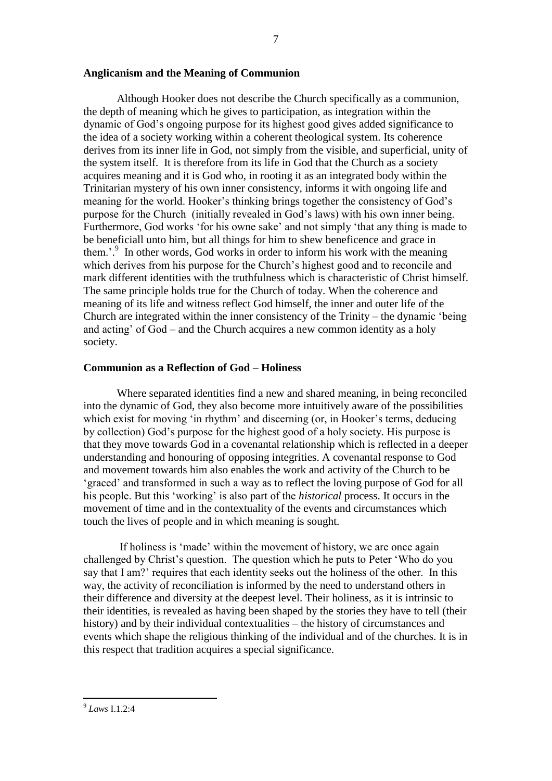## **Anglicanism and the Meaning of Communion**

Although Hooker does not describe the Church specifically as a communion, the depth of meaning which he gives to participation, as integration within the dynamic of God's ongoing purpose for its highest good gives added significance to the idea of a society working within a coherent theological system. Its coherence derives from its inner life in God, not simply from the visible, and superficial, unity of the system itself. It is therefore from its life in God that the Church as a society acquires meaning and it is God who, in rooting it as an integrated body within the Trinitarian mystery of his own inner consistency, informs it with ongoing life and meaning for the world. Hooker's thinking brings together the consistency of God's purpose for the Church (initially revealed in God's laws) with his own inner being. Furthermore, God works 'for his owne sake' and not simply 'that any thing is made to be beneficiall unto him, but all things for him to shew beneficence and grace in them.'. 9 In other words, God works in order to inform his work with the meaning which derives from his purpose for the Church's highest good and to reconcile and mark different identities with the truthfulness which is characteristic of Christ himself. The same principle holds true for the Church of today. When the coherence and meaning of its life and witness reflect God himself, the inner and outer life of the Church are integrated within the inner consistency of the Trinity – the dynamic 'being and acting' of God – and the Church acquires a new common identity as a holy society.

### **Communion as a Reflection of God – Holiness**

Where separated identities find a new and shared meaning, in being reconciled into the dynamic of God, they also become more intuitively aware of the possibilities which exist for moving 'in rhythm' and discerning (or, in Hooker's terms, deducing by collection) God's purpose for the highest good of a holy society. His purpose is that they move towards God in a covenantal relationship which is reflected in a deeper understanding and honouring of opposing integrities. A covenantal response to God and movement towards him also enables the work and activity of the Church to be 'graced' and transformed in such a way as to reflect the loving purpose of God for all his people. But this 'working' is also part of the *historical* process. It occurs in the movement of time and in the contextuality of the events and circumstances which touch the lives of people and in which meaning is sought.

If holiness is 'made' within the movement of history, we are once again challenged by Christ's question. The question which he puts to Peter 'Who do you say that I am?' requires that each identity seeks out the holiness of the other. In this way, the activity of reconciliation is informed by the need to understand others in their difference and diversity at the deepest level. Their holiness, as it is intrinsic to their identities, is revealed as having been shaped by the stories they have to tell (their history) and by their individual contextualities – the history of circumstances and events which shape the religious thinking of the individual and of the churches. It is in this respect that tradition acquires a special significance.

 9 *Laws* I.1.2:4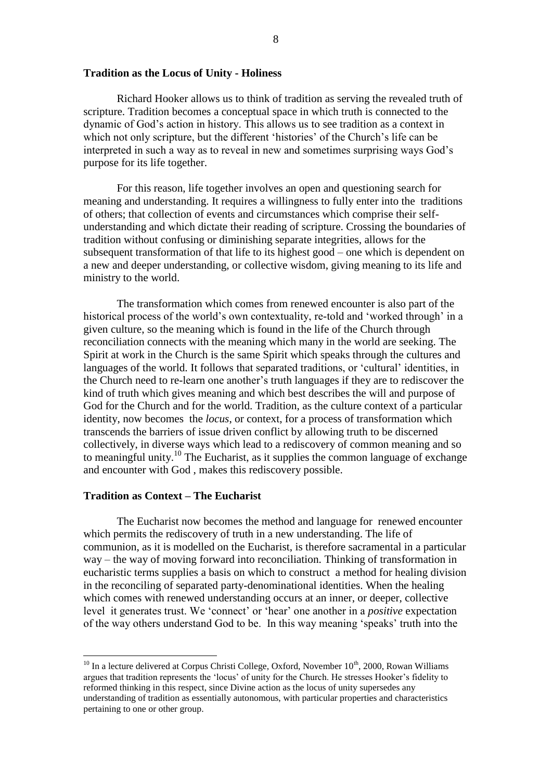#### **Tradition as the Locus of Unity - Holiness**

Richard Hooker allows us to think of tradition as serving the revealed truth of scripture. Tradition becomes a conceptual space in which truth is connected to the dynamic of God's action in history. This allows us to see tradition as a context in which not only scripture, but the different 'histories' of the Church's life can be interpreted in such a way as to reveal in new and sometimes surprising ways God's purpose for its life together.

For this reason, life together involves an open and questioning search for meaning and understanding. It requires a willingness to fully enter into the traditions of others; that collection of events and circumstances which comprise their selfunderstanding and which dictate their reading of scripture. Crossing the boundaries of tradition without confusing or diminishing separate integrities, allows for the subsequent transformation of that life to its highest good – one which is dependent on a new and deeper understanding, or collective wisdom, giving meaning to its life and ministry to the world.

The transformation which comes from renewed encounter is also part of the historical process of the world's own contextuality, re-told and 'worked through' in a given culture, so the meaning which is found in the life of the Church through reconciliation connects with the meaning which many in the world are seeking. The Spirit at work in the Church is the same Spirit which speaks through the cultures and languages of the world. It follows that separated traditions, or 'cultural' identities, in the Church need to re-learn one another's truth languages if they are to rediscover the kind of truth which gives meaning and which best describes the will and purpose of God for the Church and for the world. Tradition, as the culture context of a particular identity, now becomes the *locus*, or context, for a process of transformation which transcends the barriers of issue driven conflict by allowing truth to be discerned collectively, in diverse ways which lead to a rediscovery of common meaning and so to meaningful unity.<sup>10</sup> The Eucharist, as it supplies the common language of exchange and encounter with God , makes this rediscovery possible.

## **Tradition as Context – The Eucharist**

<u>.</u>

The Eucharist now becomes the method and language for renewed encounter which permits the rediscovery of truth in a new understanding. The life of communion, as it is modelled on the Eucharist, is therefore sacramental in a particular way – the way of moving forward into reconciliation. Thinking of transformation in eucharistic terms supplies a basis on which to construct a method for healing division in the reconciling of separated party-denominational identities. When the healing which comes with renewed understanding occurs at an inner, or deeper, collective level it generates trust. We 'connect' or 'hear' one another in a *positive* expectation of the way others understand God to be. In this way meaning 'speaks' truth into the

 $10$  In a lecture delivered at Corpus Christi College, Oxford, November  $10^{th}$ , 2000, Rowan Williams argues that tradition represents the 'locus' of unity for the Church. He stresses Hooker's fidelity to reformed thinking in this respect, since Divine action as the locus of unity supersedes any understanding of tradition as essentially autonomous, with particular properties and characteristics pertaining to one or other group.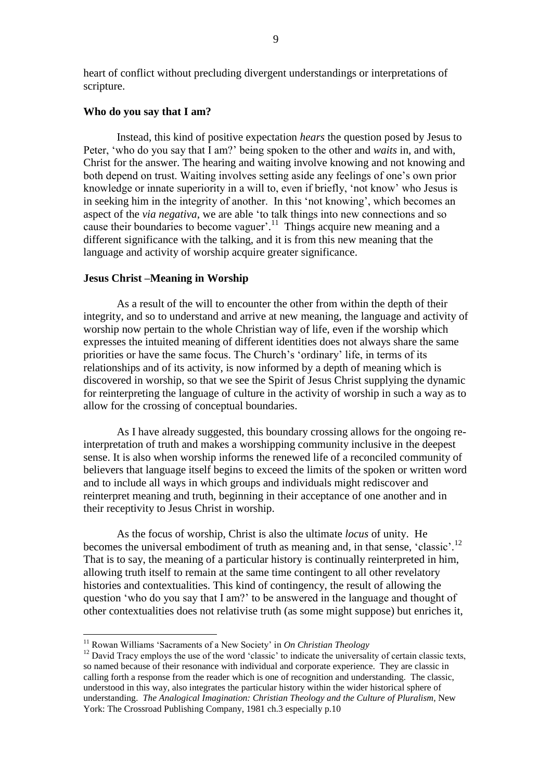heart of conflict without precluding divergent understandings or interpretations of scripture.

## **Who do you say that I am?**

Instead, this kind of positive expectation *hears* the question posed by Jesus to Peter, 'who do you say that I am?' being spoken to the other and *waits* in, and with, Christ for the answer. The hearing and waiting involve knowing and not knowing and both depend on trust. Waiting involves setting aside any feelings of one's own prior knowledge or innate superiority in a will to, even if briefly, 'not know' who Jesus is in seeking him in the integrity of another. In this 'not knowing', which becomes an aspect of the *via negativa*, we are able 'to talk things into new connections and so cause their boundaries to become vaguer'. 11 Things acquire new meaning and a different significance with the talking, and it is from this new meaning that the language and activity of worship acquire greater significance.

## **Jesus Christ –Meaning in Worship**

As a result of the will to encounter the other from within the depth of their integrity, and so to understand and arrive at new meaning, the language and activity of worship now pertain to the whole Christian way of life, even if the worship which expresses the intuited meaning of different identities does not always share the same priorities or have the same focus. The Church's 'ordinary' life, in terms of its relationships and of its activity, is now informed by a depth of meaning which is discovered in worship, so that we see the Spirit of Jesus Christ supplying the dynamic for reinterpreting the language of culture in the activity of worship in such a way as to allow for the crossing of conceptual boundaries.

As I have already suggested, this boundary crossing allows for the ongoing reinterpretation of truth and makes a worshipping community inclusive in the deepest sense. It is also when worship informs the renewed life of a reconciled community of believers that language itself begins to exceed the limits of the spoken or written word and to include all ways in which groups and individuals might rediscover and reinterpret meaning and truth, beginning in their acceptance of one another and in their receptivity to Jesus Christ in worship.

As the focus of worship, Christ is also the ultimate *locus* of unity. He becomes the universal embodiment of truth as meaning and, in that sense, 'classic'.<sup>12</sup> That is to say, the meaning of a particular history is continually reinterpreted in him, allowing truth itself to remain at the same time contingent to all other revelatory histories and contextualities. This kind of contingency, the result of allowing the question 'who do you say that I am?' to be answered in the language and thought of other contextualities does not relativise truth (as some might suppose) but enriches it,

<sup>11</sup> Rowan Williams 'Sacraments of a New Society' in *On Christian Theology*

 $12$  David Tracy employs the use of the word 'classic' to indicate the universality of certain classic texts, so named because of their resonance with individual and corporate experience. They are classic in calling forth a response from the reader which is one of recognition and understanding. The classic, understood in this way, also integrates the particular history within the wider historical sphere of understanding. *The Analogical Imagination: Christian Theology and the Culture of Pluralism*, New York: The Crossroad Publishing Company, 1981 ch.3 especially p.10